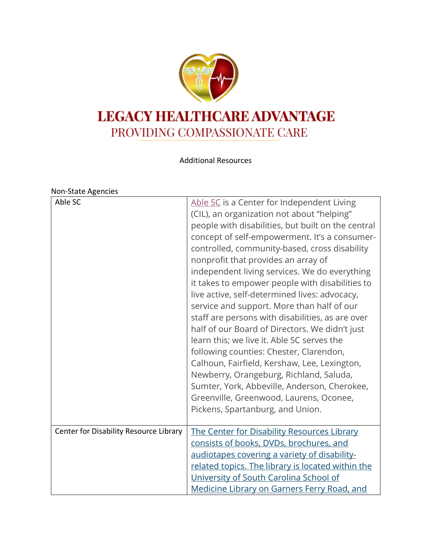

Additional Resources

## Non-State Agencies

| Able SC                                | Able SC is a Center for Independent Living<br>(CIL), an organization not about "helping"<br>people with disabilities, but built on the central<br>concept of self-empowerment. It's a consumer-<br>controlled, community-based, cross disability<br>nonprofit that provides an array of<br>independent living services. We do everything<br>it takes to empower people with disabilities to<br>live active, self-determined lives: advocacy,<br>service and support. More than half of our<br>staff are persons with disabilities, as are over<br>half of our Board of Directors. We didn't just<br>learn this; we live it. Able SC serves the<br>following counties: Chester, Clarendon,<br>Calhoun, Fairfield, Kershaw, Lee, Lexington,<br>Newberry, Orangeburg, Richland, Saluda,<br>Sumter, York, Abbeville, Anderson, Cherokee,<br>Greenville, Greenwood, Laurens, Oconee,<br>Pickens, Spartanburg, and Union. |
|----------------------------------------|---------------------------------------------------------------------------------------------------------------------------------------------------------------------------------------------------------------------------------------------------------------------------------------------------------------------------------------------------------------------------------------------------------------------------------------------------------------------------------------------------------------------------------------------------------------------------------------------------------------------------------------------------------------------------------------------------------------------------------------------------------------------------------------------------------------------------------------------------------------------------------------------------------------------|
| Center for Disability Resource Library | The Center for Disability Resources Library<br>consists of books, DVDs, brochures, and<br>audiotapes covering a variety of disability-<br>related topics. The library is located within the<br>University of South Carolina School of<br>Medicine Library on Garners Ferry Road, and                                                                                                                                                                                                                                                                                                                                                                                                                                                                                                                                                                                                                                |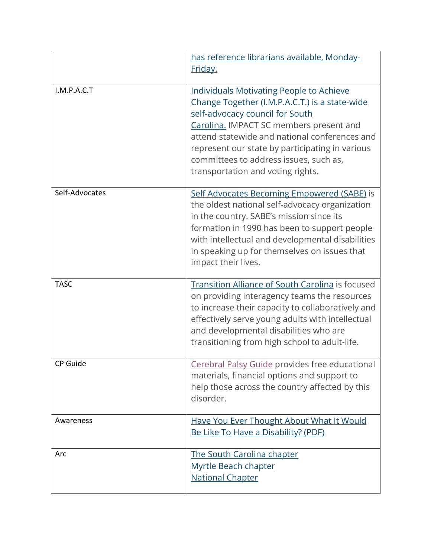|                | has reference librarians available, Monday-<br><u>Friday.</u>                                                                                                                                                                                                                                                                                                      |
|----------------|--------------------------------------------------------------------------------------------------------------------------------------------------------------------------------------------------------------------------------------------------------------------------------------------------------------------------------------------------------------------|
| I.M.P.A.C.T    | <b>Individuals Motivating People to Achieve</b><br>Change Together (I.M.P.A.C.T.) is a state-wide<br>self-advocacy council for South<br>Carolina. IMPACT SC members present and<br>attend statewide and national conferences and<br>represent our state by participating in various<br>committees to address issues, such as,<br>transportation and voting rights. |
| Self-Advocates | Self Advocates Becoming Empowered (SABE) is<br>the oldest national self-advocacy organization<br>in the country. SABE's mission since its<br>formation in 1990 has been to support people<br>with intellectual and developmental disabilities<br>in speaking up for themselves on issues that<br>impact their lives.                                               |
| <b>TASC</b>    | Transition Alliance of South Carolina is focused<br>on providing interagency teams the resources<br>to increase their capacity to collaboratively and<br>effectively serve young adults with intellectual<br>and developmental disabilities who are<br>transitioning from high school to adult-life.                                                               |
| CP Guide       | Cerebral Palsy Guide provides free educational<br>materials, financial options and support to<br>help those across the country affected by this<br>disorder.                                                                                                                                                                                                       |
| Awareness      | Have You Ever Thought About What It Would<br>Be Like To Have a Disability? (PDF)                                                                                                                                                                                                                                                                                   |
| Arc            | <b>The South Carolina chapter</b><br><b>Myrtle Beach chapter</b><br><b>National Chapter</b>                                                                                                                                                                                                                                                                        |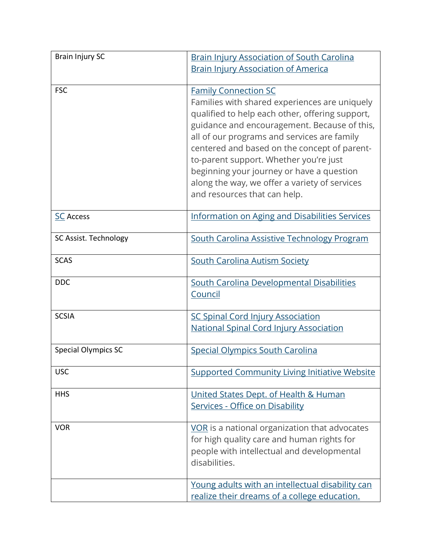| <b>Brain Injury SC</b>     | <b>Brain Injury Association of South Carolina</b>                                                                                                                                                                                                                                                                                                                                                                                                      |
|----------------------------|--------------------------------------------------------------------------------------------------------------------------------------------------------------------------------------------------------------------------------------------------------------------------------------------------------------------------------------------------------------------------------------------------------------------------------------------------------|
|                            | <b>Brain Injury Association of America</b>                                                                                                                                                                                                                                                                                                                                                                                                             |
| <b>FSC</b>                 | <b>Family Connection SC</b><br>Families with shared experiences are uniquely<br>qualified to help each other, offering support,<br>guidance and encouragement. Because of this,<br>all of our programs and services are family<br>centered and based on the concept of parent-<br>to-parent support. Whether you're just<br>beginning your journey or have a question<br>along the way, we offer a variety of services<br>and resources that can help. |
| <b>SC Access</b>           | <b>Information on Aging and Disabilities Services</b>                                                                                                                                                                                                                                                                                                                                                                                                  |
| SC Assist. Technology      | South Carolina Assistive Technology Program                                                                                                                                                                                                                                                                                                                                                                                                            |
| <b>SCAS</b>                | <b>South Carolina Autism Society</b>                                                                                                                                                                                                                                                                                                                                                                                                                   |
| <b>DDC</b>                 | South Carolina Developmental Disabilities<br>Council                                                                                                                                                                                                                                                                                                                                                                                                   |
| <b>SCSIA</b>               | <b>SC Spinal Cord Injury Association</b><br><b>National Spinal Cord Injury Association</b>                                                                                                                                                                                                                                                                                                                                                             |
| <b>Special Olympics SC</b> | <b>Special Olympics South Carolina</b>                                                                                                                                                                                                                                                                                                                                                                                                                 |
| <b>USC</b>                 | <b>Supported Community Living Initiative Website</b>                                                                                                                                                                                                                                                                                                                                                                                                   |
| <b>HHS</b>                 | United States Dept. of Health & Human<br>Services - Office on Disability                                                                                                                                                                                                                                                                                                                                                                               |
| <b>VOR</b>                 | VOR is a national organization that advocates<br>for high quality care and human rights for<br>people with intellectual and developmental<br>disabilities.                                                                                                                                                                                                                                                                                             |
|                            | Young adults with an intellectual disability can<br>realize their dreams of a college education.                                                                                                                                                                                                                                                                                                                                                       |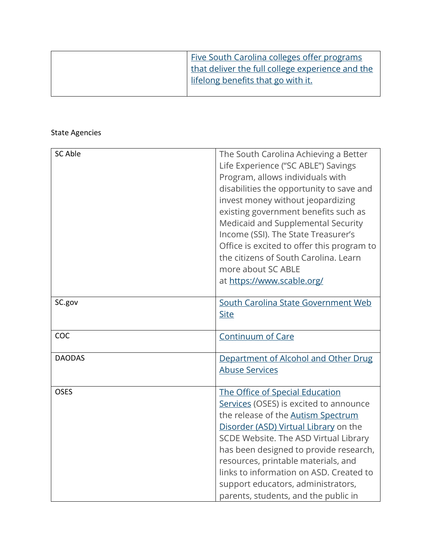| Five South Carolina colleges offer programs      |
|--------------------------------------------------|
| that deliver the full college experience and the |
| lifelong benefits that go with it.               |
|                                                  |

## State Agencies

| SC Able       | The South Carolina Achieving a Better                                      |
|---------------|----------------------------------------------------------------------------|
|               | Life Experience ("SC ABLE") Savings                                        |
|               | Program, allows individuals with                                           |
|               | disabilities the opportunity to save and                                   |
|               | invest money without jeopardizing                                          |
|               | existing government benefits such as                                       |
|               | Medicaid and Supplemental Security                                         |
|               | Income (SSI). The State Treasurer's                                        |
|               | Office is excited to offer this program to                                 |
|               | the citizens of South Carolina. Learn                                      |
|               | more about SC ABLE                                                         |
|               | at https://www.scable.org/                                                 |
|               |                                                                            |
| SC.gov        | South Carolina State Government Web                                        |
|               | <b>Site</b>                                                                |
|               |                                                                            |
| COC           | <b>Continuum of Care</b>                                                   |
|               |                                                                            |
| <b>DAODAS</b> | Department of Alcohol and Other Drug                                       |
|               | <b>Abuse Services</b>                                                      |
|               |                                                                            |
| <b>OSES</b>   | The Office of Special Education                                            |
|               | Services (OSES) is excited to announce                                     |
|               | the release of the <b>Autism Spectrum</b>                                  |
|               | Disorder (ASD) Virtual Library on the                                      |
|               | SCDE Website. The ASD Virtual Library                                      |
|               | has been designed to provide research,                                     |
|               |                                                                            |
|               | resources, printable materials, and                                        |
|               | links to information on ASD. Created to                                    |
|               | support educators, administrators,<br>parents, students, and the public in |